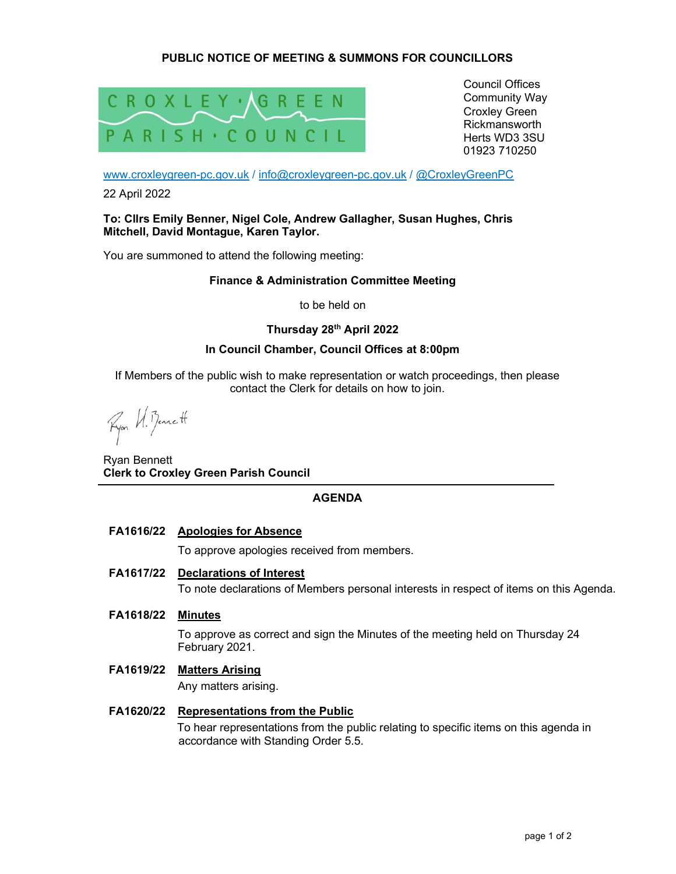# PUBLIC NOTICE OF MEETING & SUMMONS FOR COUNCILLORS



Council Offices Community Way Croxley Green Rickmansworth Herts WD3 3SU 01923 710250

www.croxleygreen-pc.gov.uk / info@croxleygreen-pc.gov.uk / @CroxleyGreenPC

22 April 2022

### To: Cllrs Emily Benner, Nigel Cole, Andrew Gallagher, Susan Hughes, Chris Mitchell, David Montague, Karen Taylor.

You are summoned to attend the following meeting:

## Finance & Administration Committee Meeting

to be held on

## Thursday 28th April 2022

### In Council Chamber, Council Offices at 8:00pm

If Members of the public wish to make representation or watch proceedings, then please contact the Clerk for details on how to join.

Ryon W. Benett

Ryan Bennett Clerk to Croxley Green Parish Council

## AGENDA

FA1616/22 Apologies for Absence

To approve apologies received from members.

## FA1617/22 Declarations of Interest

To note declarations of Members personal interests in respect of items on this Agenda.

FA1618/22 Minutes

To approve as correct and sign the Minutes of the meeting held on Thursday 24 February 2021.

FA1619/22 Matters Arising

Any matters arising.

## FA1620/22 Representations from the Public To hear representations from the public relating to specific items on this agenda in accordance with Standing Order 5.5.